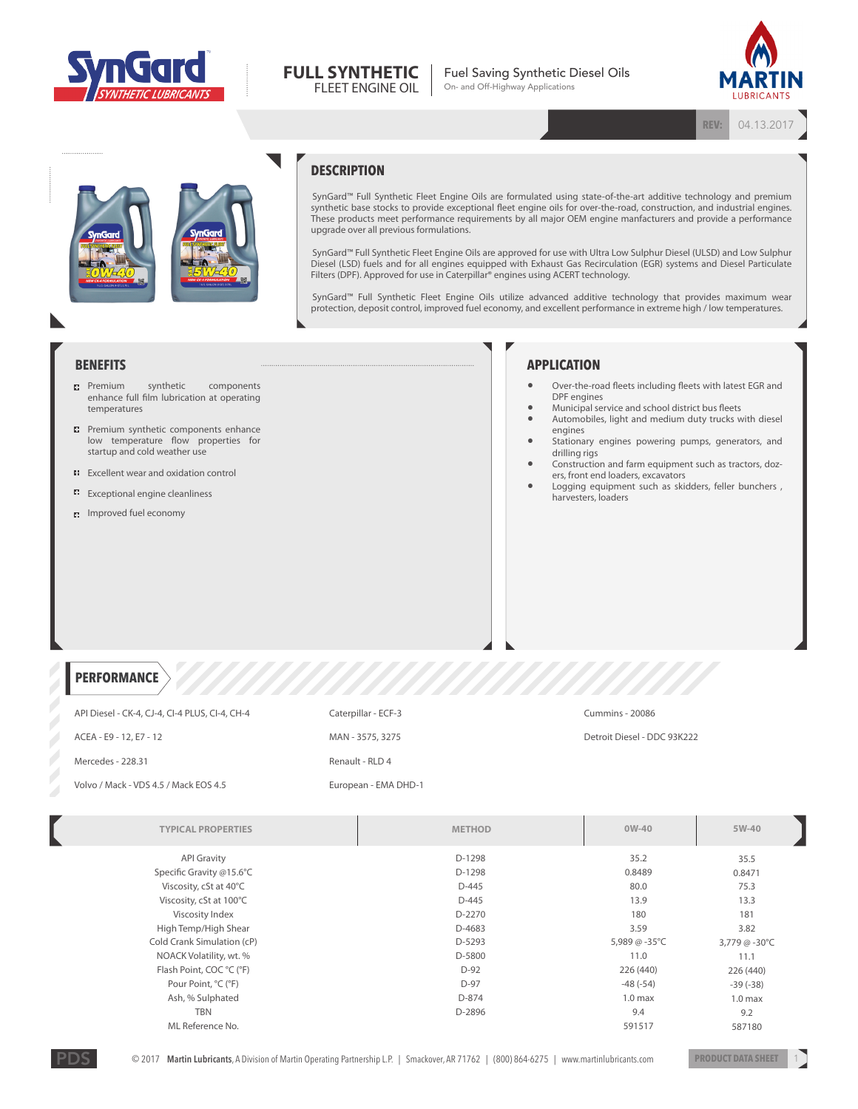



Fuel Saving Synthetic Diesel Oils On- and Off-Highway Applications



**REV:** 04.13.2017

## **DESCRIPTION**

SynGard™ Full Synthetic Fleet Engine Oils are formulated using state-of-the-art additive technology and premium synthetic base stocks to provide exceptional fleet engine oils for over-the-road, construction, and industrial engines. These products meet performance requirements by all major OEM engine manfacturers and provide a performance upgrade over all previous formulations.

SynGard™ Full Synthetic Fleet Engine Oils are approved for use with Ultra Low Sulphur Diesel (ULSD) and Low Sulphur Diesel (LSD) fuels and for all engines equipped with Exhaust Gas Recirculation (EGR) systems and Diesel Particulate Filters (DPF). Approved for use in Caterpillar® engines using ACERT technology.

SynGard™ Full Synthetic Fleet Engine Oils utilize advanced additive technology that provides maximum wear protection, deposit control, improved fuel economy, and excellent performance in extreme high / low temperatures.

**BENEFITS**

- **Premium** synthetic components enhance full film lubrication at operating temperatures
- **P** Premium synthetic components enhance low temperature flow properties for startup and cold weather use
- **EXCELLENT WEAR AND OXIDATION CONTROL**
- **EXCEPTIONAL EXCEPTION** EXCEPTIONAL **EXCEPTION**
- **n** Improved fuel economy

## **APPLICATION**

- Over-the-road fleets including fleets with latest EGR and DPF engines
	- Municipal service and school district bus fleets
- Automobiles, light and medium duty trucks with diesel engines
- Stationary engines powering pumps, generators, and drilling rigs
- Construction and farm equipment such as tractors, dozers, front end loaders, excavators
- Logging equipment such as skidders, feller bunchers, harvesters, loaders

**PERFORMANCE**

| API Diesel - CK-4, CJ-4, CI-4 PLUS, CI-4, CH-4 | Caterpillar - ECF-3  | Cummins - 20086             |
|------------------------------------------------|----------------------|-----------------------------|
| ACEA - E9 - 12, E7 - 12                        | MAN - 3575, 3275     | Detroit Diesel - DDC 93K222 |
| Mercedes - 228.31                              | Renault - RLD 4      |                             |
| Volvo / Mack - VDS 4.5 / Mack EOS 4.5          | European - EMA DHD-1 |                             |

Z

 $\mathbb{Z}$ 

Z

 $\mathbb{Z}$ 

 $\mathbb{Z}$  $\mathbb{Z}$  $\mathbb{Z}$  $\mathbb{Z}$ 

| <b>TYPICAL PROPERTIES</b>  | <b>METHOD</b> | $OW-40$            | 5W-40              |
|----------------------------|---------------|--------------------|--------------------|
| <b>API Gravity</b>         | D-1298        | 35.2               | 35.5               |
| Specific Gravity @15.6°C   | D-1298        | 0.8489             | 0.8471             |
| Viscosity, cSt at 40°C     | D-445         | 80.0               | 75.3               |
| Viscosity, cSt at 100°C    | D-445         | 13.9               | 13.3               |
| Viscosity Index            | D-2270        | 180                | 181                |
| High Temp/High Shear       | D-4683        | 3.59               | 3.82               |
| Cold Crank Simulation (cP) | D-5293        | 5,989 @ -35°C      | 3,779 @ -30°C      |
| NOACK Volatility, wt. %    | D-5800        | 11.0               | 11.1               |
| Flash Point, COC °C (°F)   | $D-92$        | 226 (440)          | 226 (440)          |
| Pour Point, °C (°F)        | D-97          | $-48(-54)$         | $-39(-38)$         |
| Ash, % Sulphated           | D-874         | 1.0 <sub>max</sub> | 1.0 <sub>max</sub> |
| <b>TBN</b>                 | D-2896        | 9.4                | 9.2                |
| ML Reference No.           |               | 591517             | 587180             |
|                            |               |                    |                    |